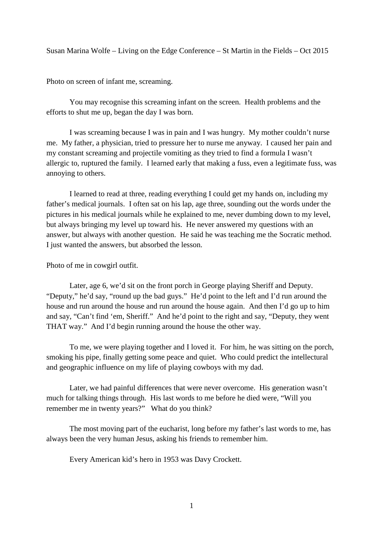Susan Marina Wolfe – Living on the Edge Conference – St Martin in the Fields – Oct 2015

Photo on screen of infant me, screaming.

 You may recognise this screaming infant on the screen. Health problems and the efforts to shut me up, began the day I was born.

 I was screaming because I was in pain and I was hungry. My mother couldn't nurse me. My father, a physician, tried to pressure her to nurse me anyway. I caused her pain and my constant screaming and projectile vomiting as they tried to find a formula I wasn't allergic to, ruptured the family. I learned early that making a fuss, even a legitimate fuss, was annoying to others.

 I learned to read at three, reading everything I could get my hands on, including my father's medical journals. I often sat on his lap, age three, sounding out the words under the pictures in his medical journals while he explained to me, never dumbing down to my level, but always bringing my level up toward his. He never answered my questions with an answer, but always with another question. He said he was teaching me the Socratic method. I just wanted the answers, but absorbed the lesson.

Photo of me in cowgirl outfit.

 Later, age 6, we'd sit on the front porch in George playing Sheriff and Deputy. "Deputy," he'd say, "round up the bad guys." He'd point to the left and I'd run around the house and run around the house and run around the house again. And then I'd go up to him and say, "Can't find 'em, Sheriff." And he'd point to the right and say, "Deputy, they went THAT way." And I'd begin running around the house the other way.

 To me, we were playing together and I loved it. For him, he was sitting on the porch, smoking his pipe, finally getting some peace and quiet. Who could predict the intellectural and geographic influence on my life of playing cowboys with my dad.

 Later, we had painful differences that were never overcome. His generation wasn't much for talking things through. His last words to me before he died were, "Will you remember me in twenty years?" What do you think?

 The most moving part of the eucharist, long before my father's last words to me, has always been the very human Jesus, asking his friends to remember him.

Every American kid's hero in 1953 was Davy Crockett.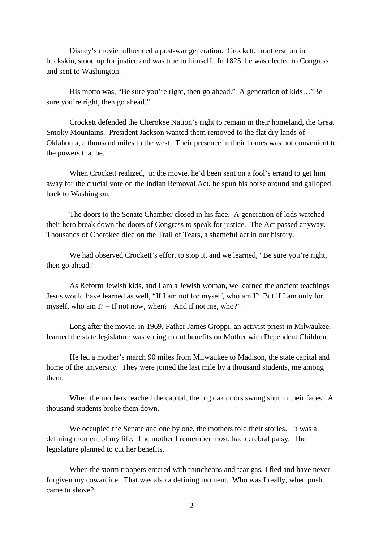Disney's movie influenced a post-war generation. Crockett, frontiersman in buckskin, stood up for justice and was true to himself. In 1825, he was elected to Congress and sent to Washington.

His motto was, "Be sure you're right, then go ahead." A generation of kids..."Be sure you're right, then go ahead."

 Crockett defended the Cherokee Nation's right to remain in their homeland, the Great Smoky Mountains. President Jackson wanted them removed to the flat dry lands of Oklahoma, a thousand miles to the west. Their presence in their homes was not convenient to the powers that be.

 When Crockett realized, in the movie, he'd been sent on a fool's errand to get him away for the crucial vote on the Indian Removal Act, he spun his horse around and galloped back to Washington.

 The doors to the Senate Chamber closed in his face. A generation of kids watched their hero break down the doors of Congress to speak for justice. The Act passed anyway. Thousands of Cherokee died on the Trail of Tears, a shameful act in our history.

We had observed Crockett's effort to stop it, and we learned, "Be sure you're right, then go ahead."

 As Reform Jewish kids, and I am a Jewish woman, we learned the ancient teachings Jesus would have learned as well, "If I am not for myself, who am I? But if I am only for myself, who am I? – If not now, when? And if not me, who?"

 Long after the movie, in 1969, Father James Groppi, an activist priest in Milwaukee, learned the state legislature was voting to cut benefits on Mother with Dependent Children.

 He led a mother's march 90 miles from Milwaukee to Madison, the state capital and home of the university. They were joined the last mile by a thousand students, me among them.

 When the mothers reached the capital, the big oak doors swung shut in their faces. A thousand students broke them down.

 We occupied the Senate and one by one, the mothers told their stories. It was a defining moment of my life. The mother I remember most, had cerebral palsy. The legislature planned to cut her benefits.

 When the storm troopers entered with truncheons and tear gas, I fled and have never forgiven my cowardice. That was also a defining moment. Who was I really, when push came to shove?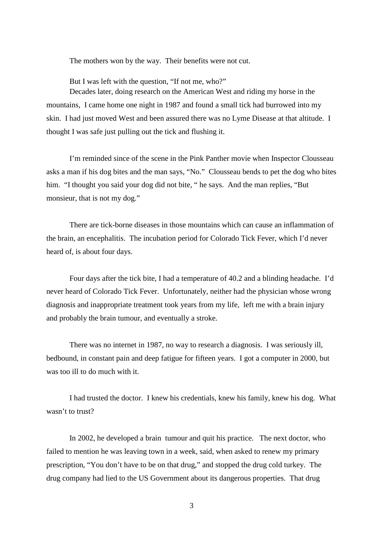The mothers won by the way. Their benefits were not cut.

But I was left with the question, "If not me, who?"

 Decades later, doing research on the American West and riding my horse in the mountains, I came home one night in 1987 and found a small tick had burrowed into my skin. I had just moved West and been assured there was no Lyme Disease at that altitude. I thought I was safe just pulling out the tick and flushing it.

 I'm reminded since of the scene in the Pink Panther movie when Inspector Clousseau asks a man if his dog bites and the man says, "No." Clousseau bends to pet the dog who bites him. "I thought you said your dog did not bite, " he says. And the man replies, "But monsieur, that is not my dog."

 There are tick-borne diseases in those mountains which can cause an inflammation of the brain, an encephalitis. The incubation period for Colorado Tick Fever, which I'd never heard of, is about four days.

 Four days after the tick bite, I had a temperature of 40.2 and a blinding headache. I'd never heard of Colorado Tick Fever. Unfortunately, neither had the physician whose wrong diagnosis and inappropriate treatment took years from my life, left me with a brain injury and probably the brain tumour, and eventually a stroke.

 There was no internet in 1987, no way to research a diagnosis. I was seriously ill, bedbound, in constant pain and deep fatigue for fifteen years. I got a computer in 2000, but was too ill to do much with it.

 I had trusted the doctor. I knew his credentials, knew his family, knew his dog. What wasn't to trust?

 In 2002, he developed a brain tumour and quit his practice. The next doctor, who failed to mention he was leaving town in a week, said, when asked to renew my primary prescription, "You don't have to be on that drug," and stopped the drug cold turkey. The drug company had lied to the US Government about its dangerous properties. That drug

3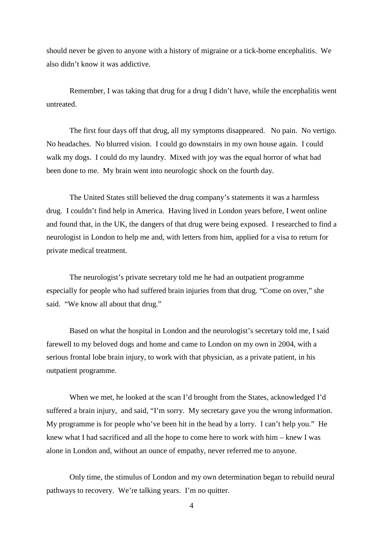should never be given to anyone with a history of migraine or a tick-borne encephalitis. We also didn't know it was addictive.

 Remember, I was taking that drug for a drug I didn't have, while the encephalitis went untreated.

 The first four days off that drug, all my symptoms disappeared. No pain. No vertigo. No headaches. No blurred vision. I could go downstairs in my own house again. I could walk my dogs. I could do my laundry. Mixed with joy was the equal horror of what had been done to me. My brain went into neurologic shock on the fourth day.

 The United States still believed the drug company's statements it was a harmless drug. I couldn't find help in America. Having lived in London years before, I went online and found that, in the UK, the dangers of that drug were being exposed. I researched to find a neurologist in London to help me and, with letters from him, applied for a visa to return for private medical treatment.

 The neurologist's private secretary told me he had an outpatient programme especially for people who had suffered brain injuries from that drug. "Come on over," she said. "We know all about that drug."

 Based on what the hospital in London and the neurologist's secretary told me, I said farewell to my beloved dogs and home and came to London on my own in 2004, with a serious frontal lobe brain injury, to work with that physician, as a private patient, in his outpatient programme.

 When we met, he looked at the scan I'd brought from the States, acknowledged I'd suffered a brain injury, and said, "I'm sorry. My secretary gave you the wrong information. My programme is for people who've been hit in the head by a lorry. I can't help you." He knew what I had sacrificed and all the hope to come here to work with him – knew I was alone in London and, without an ounce of empathy, never referred me to anyone.

 Only time, the stimulus of London and my own determination began to rebuild neural pathways to recovery. We're talking years. I'm no quitter.

4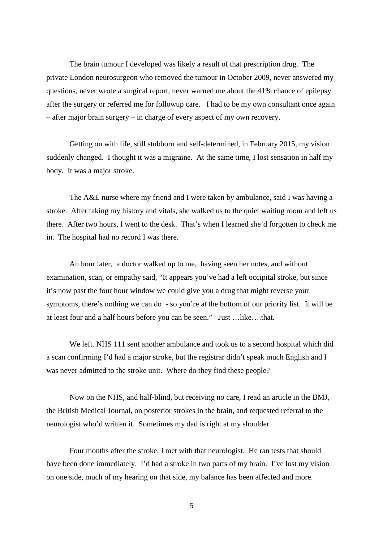The brain tumour I developed was likely a result of that prescription drug. The private London neurosurgeon who removed the tumour in October 2009, never answered my questions, never wrote a surgical report, never warned me about the 41% chance of epilepsy after the surgery or referred me for followup care. I had to be my own consultant once again – after major brain surgery – in charge of every aspect of my own recovery.

 Getting on with life, still stubborn and self-determined, in February 2015, my vision suddenly changed. I thought it was a migraine. At the same time, I lost sensation in half my body. It was a major stroke.

 The A&E nurse where my friend and I were taken by ambulance, said I was having a stroke. After taking my history and vitals, she walked us to the quiet waiting room and left us there. After two hours, I went to the desk. That's when I learned she'd forgotten to check me in. The hospital had no record I was there.

 An hour later, a doctor walked up to me, having seen her notes, and without examination, scan, or empathy said, "It appears you've had a left occipital stroke, but since it's now past the four hour window we could give you a drug that might reverse your symptoms, there's nothing we can do - so you're at the bottom of our priority list. It will be at least four and a half hours before you can be seen." Just …like….that.

 We left. NHS 111 sent another ambulance and took us to a second hospital which did a scan confirming I'd had a major stroke, but the registrar didn't speak much English and I was never admitted to the stroke unit. Where do they find these people?

 Now on the NHS, and half-blind, but receiving no care, I read an article in the BMJ, the British Medical Journal, on posterior strokes in the brain, and requested referral to the neurologist who'd written it. Sometimes my dad is right at my shoulder.

 Four months after the stroke, I met with that neurologist. He ran tests that should have been done immediately. I'd had a stroke in two parts of my brain. I've lost my vision on one side, much of my hearing on that side, my balance has been affected and more.